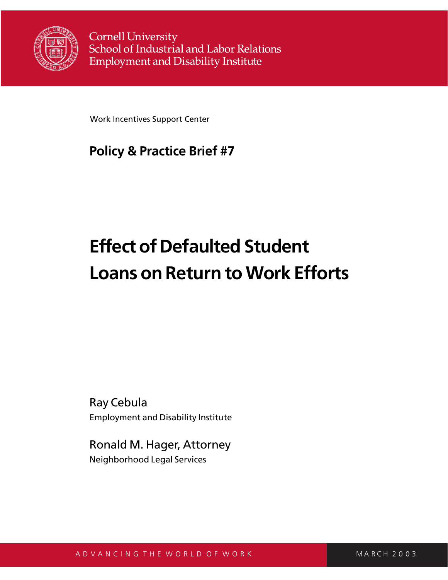

**Cornell University** School of Industrial and Labor Relations **Employment and Disability Institute** 

Work Incentives Support Center

# **Policy & Practice Brief #7**

# **Effect of Defaulted Student Loans on Return to Work Efforts**

Ray Cebula Employment and Disability Institute

Ronald M. Hager, Attorney Neighborhood Legal Services

A D V A N C I N G T H E W O R L D O F W O R K M A M M M M A R C H 2 0 0 3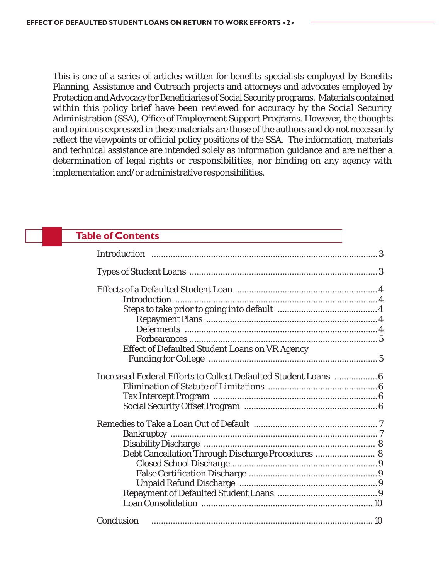This is one of a series of articles written for benefits specialists employed by Benefits Planning, Assistance and Outreach projects and attorneys and advocates employed by Protection and Advocacy for Beneficiaries of Social Security programs. Materials contained within this policy brief have been reviewed for accuracy by the Social Security Administration (SSA), Office of Employment Support Programs. However, the thoughts and opinions expressed in these materials are those of the authors and do not necessarily reflect the viewpoints or official policy positions of the SSA. The information, materials and technical assistance are intended solely as information guidance and are neither a determination of legal rights or responsibilities, nor binding on any agency with implementation and/or administrative responsibilities.

# **Table of Contents** Introduction ...............................................................................................3 Types of Student Loans ...............................................................................3 Effects of a Defaulted Student Loan ...........................................................4 Introduction .....................................................................................4 Steps to take prior to going into default ..........................................4 Repayment Plans ........................................................................4 Deferments .................................................................................4 Forbearances ............................................................................... 5 Effect of Defaulted Student Loans on VR Agency Funding for College ....................................................................... 5 Increased Federal Efforts to Collect Defaulted Student Loans ..................6 Elimination of Statute of Limitations ..............................................6 Tax Intercept Program .....................................................................6 Social Security Offset Program ........................................................6 Remedies to Take a Loan Out of Default .................................................... 7 Bankruptcy ....................................................................................... 7 Disability Discharge ........................................................................ 8 Debt Cancellation Through Discharge Procedures ......................... 8 Closed School Discharge .............................................................9 False Certification Discharge ......................................................9 Unpaid Refund Discharge ..........................................................9 Repayment of Defaulted Student Loans ..........................................9 Loan Consolidation ........................................................................ 10 Conclusion ............................................................................................. 10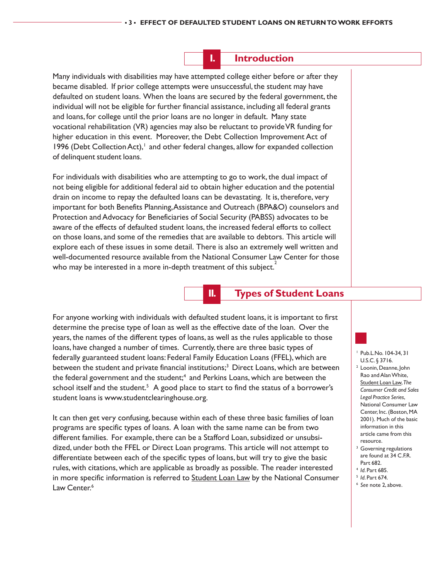**I. Introduction**

Many individuals with disabilities may have attempted college either before or after they became disabled. If prior college attempts were unsuccessful, the student may have defaulted on student loans. When the loans are secured by the federal government, the individual will not be eligible for further financial assistance, including all federal grants and loans, for college until the prior loans are no longer in default. Many state vocational rehabilitation (VR) agencies may also be reluctant to provide VR funding for higher education in this event. Moreover, the Debt Collection Improvement Act of 1996 (Debt Collection Act), $\frac{1}{1}$  and other federal changes, allow for expanded collection of delinquent student loans.

For individuals with disabilities who are attempting to go to work, the dual impact of not being eligible for additional federal aid to obtain higher education and the potential drain on income to repay the defaulted loans can be devastating. It is, therefore, very important for both Benefits Planning, Assistance and Outreach (BPA&O) counselors and Protection and Advocacy for Beneficiaries of Social Security (PABSS) advocates to be aware of the effects of defaulted student loans, the increased federal efforts to collect on those loans, and some of the remedies that are available to debtors. This article will explore each of these issues in some detail. There is also an extremely well written and well-documented resource available from the National Consumer Law Center for those who may be interested in a more in-depth treatment of this subject.<sup>2</sup>

**II. Types of Student Loans**

For anyone working with individuals with defaulted student loans, it is important to first determine the precise type of loan as well as the effective date of the loan. Over the years, the names of the different types of loans, as well as the rules applicable to those loans, have changed a number of times. Currently, there are three basic types of federally guaranteed student loans: Federal Family Education Loans (FFEL), which are between the student and private financial institutions;<sup>3</sup> Direct Loans, which are between the federal government and the student;<sup>4</sup> and Perkins Loans, which are between the school itself and the student.<sup>5</sup> A good place to start to find the status of a borrower's student loans is www.studentclearinghouse.org.

It can then get very confusing, because within each of these three basic families of loan programs are specific types of loans. A loan with the same name can be from two different families. For example, there can be a Stafford Loan, subsidized or unsubsidized, under both the FFEL or Direct Loan programs. This article will not attempt to differentiate between each of the specific types of loans, but will try to give the basic rules, with citations, which are applicable as broadly as possible. The reader interested in more specific information is referred to **Student Loan Law** by the National Consumer Law Center.<sup>6</sup>

Pub.L.No. 104-34, 31 U.S.C. § 3716.

- <sup>2</sup> Loonin, Deanne, John Rao and Alan White, Student Loan Law, *The Consumer Credit and Sales Legal Practice Series*, National Consumer Law Center, Inc. (Boston, MA 2001). Much of the basic information in this article came from this resource.
- <sup>3</sup> Governing regulations are found at 34 C.F.R. Part 682.
- 
- 
- <sup>4</sup> *Id*. Part 685. 5 *Id*. Part 674. 6 *See* note 2, above.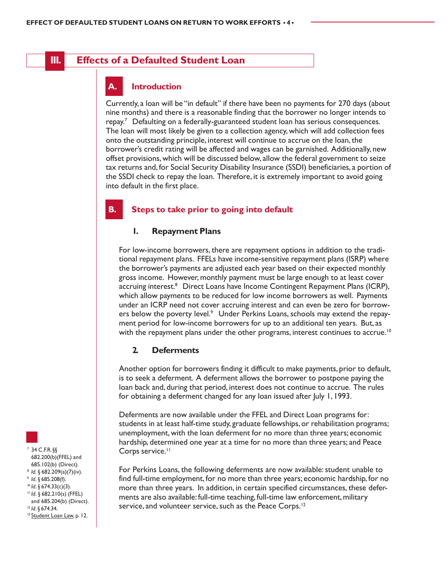### **III. Effects of a Defaulted Student Loan**

#### **A. Introduction**

Currently, a loan will be "in default" if there have been no payments for 270 days (about nine months) and there is a reasonable finding that the borrower no longer intends to repay.7 Defaulting on a federally-guaranteed student loan has serious consequences. The loan will most likely be given to a collection agency, which will add collection fees onto the outstanding principle, interest will continue to accrue on the loan, the borrower's credit rating will be affected and wages can be garnished. Additionally, new offset provisions, which will be discussed below, allow the federal government to seize tax returns and, for Social Security Disability Insurance (SSDI) beneficiaries, a portion of the SSDI check to repay the loan. Therefore, it is extremely important to avoid going into default in the first place.

#### **B. Steps to take prior to going into default**

#### **1. Repayment Plans**

For low-income borrowers, there are repayment options in addition to the traditional repayment plans. FFELs have income-sensitive repayment plans (ISRP) where the borrower's payments are adjusted each year based on their expected monthly gross income. However, monthly payment must be large enough to at least cover accruing interest.8 Direct Loans have Income Contingent Repayment Plans (ICRP), which allow payments to be reduced for low income borrowers as well. Payments under an ICRP need not cover accruing interest and can even be zero for borrowers below the poverty level.<sup>9</sup> Under Perkins Loans, schools may extend the repayment period for low-income borrowers for up to an additional ten years. But, as with the repayment plans under the other programs, interest continues to accrue.<sup>10</sup>

#### **2. Deferments**

Another option for borrowers finding it difficult to make payments, prior to default, is to seek a deferment. A deferment allows the borrower to postpone paying the loan back and, during that period, interest does not continue to accrue. The rules for obtaining a deferment changed for any loan issued after July 1, 1993.

Deferments are now available under the FFEL and Direct Loan programs for: students in at least half-time study, graduate fellowships, or rehabilitation programs; unemployment, with the loan deferment for no more than three years; economic hardship, determined one year at a time for no more than three years; and Peace Corps service.<sup>11</sup>

For Perkins Loans, the following deferments are now available: student unable to find full-time employment, for no more than three years; economic hardship, for no more than three years. In addition, in certain specified circumstances, these deferments are also available: full-time teaching, full-time law enforcement, military service, and volunteer service, such as the Peace Corps.<sup>12</sup>

<sup>7</sup> 34 C.F.R. §§ 682.200(b)(FFEL) and 685.102(b) (Direct). 8 *Id.* § 682.209(a)(7)(iv).<br>9 *Id.* § 685.208(f).<br><sup>10</sup> *Id.* § 674.33(c)(3).<br><sup>11</sup> *Id.* § 682.210(s) (FFEL) and 685.204(b) (Direct). <sup>12</sup> *Id*. § 674.34.<br><sup>13</sup> Student Loan Law, p. 12.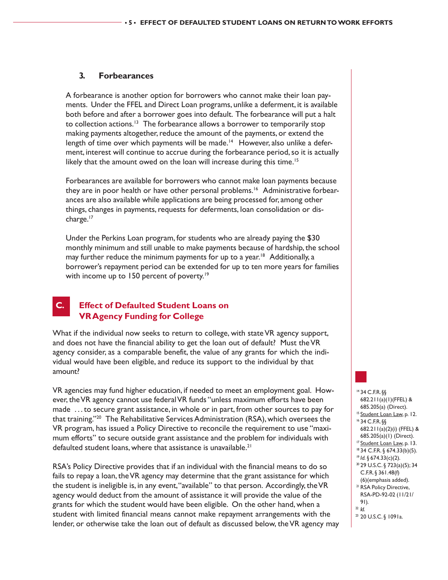#### **3. Forbearances**

A forbearance is another option for borrowers who cannot make their loan payments. Under the FFEL and Direct Loan programs, unlike a deferment, it is available both before and after a borrower goes into default. The forbearance will put a halt to collection actions.<sup>13</sup> The forbearance allows a borrower to temporarily stop making payments altogether, reduce the amount of the payments, or extend the length of time over which payments will be made.<sup>14</sup> However, also unlike a deferment, interest will continue to accrue during the forbearance period, so it is actually likely that the amount owed on the loan will increase during this time.<sup>15</sup>

Forbearances are available for borrowers who cannot make loan payments because they are in poor health or have other personal problems.<sup>16</sup> Administrative forbearances are also available while applications are being processed for, among other things, changes in payments, requests for deferments, loan consolidation or discharge.<sup>17</sup>

Under the Perkins Loan program, for students who are already paying the \$30 monthly minimum and still unable to make payments because of hardship, the school may further reduce the minimum payments for up to a year.<sup>18</sup> Additionally, a borrower's repayment period can be extended for up to ten more years for families with income up to 150 percent of poverty.<sup>19</sup>

#### **C. Effect of Defaulted Student Loans on VR Agency Funding for College**

What if the individual now seeks to return to college, with state VR agency support, and does not have the financial ability to get the loan out of default? Must the VR agency consider, as a comparable benefit, the value of any grants for which the individual would have been eligible, and reduce its support to the individual by that amount?

VR agencies may fund higher education, if needed to meet an employment goal. However, the VR agency cannot use federal VR funds "unless maximum efforts have been made . . . to secure grant assistance, in whole or in part, from other sources to pay for that training."20 The Rehabilitative Services Administration (RSA), which oversees the VR program, has issued a Policy Directive to reconcile the requirement to use "maximum efforts" to secure outside grant assistance and the problem for individuals with defaulted student loans, where that assistance is unavailable.<sup>21</sup>

RSA's Policy Directive provides that if an individual with the financial means to do so fails to repay a loan, the VR agency may determine that the grant assistance for which the student is ineligible is, in any event, "available" to that person. Accordingly, the VR agency would deduct from the amount of assistance it will provide the value of the grants for which the student would have been eligible. On the other hand, when a student with limited financial means cannot make repayment arrangements with the lender, or otherwise take the loan out of default as discussed below, the VR agency may



- 
- <sup>23</sup> 20 U.S.C. § 1091a.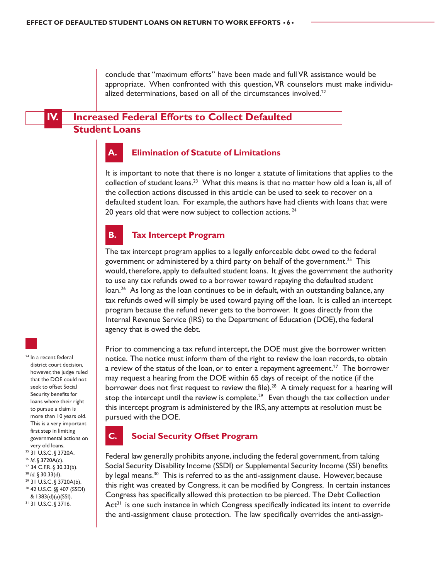conclude that "maximum efforts" have been made and full VR assistance would be appropriate. When confronted with this question, VR counselors must make individualized determinations, based on all of the circumstances involved.<sup>22</sup>

## **IV. Increased Federal Efforts to Collect Defaulted Student Loans**



#### **A. Elimination of Statute of Limitations**

It is important to note that there is no longer a statute of limitations that applies to the collection of student loans.<sup>23</sup> What this means is that no matter how old a loan is, all of the collection actions discussed in this article can be used to seek to recover on a defaulted student loan. For example, the authors have had clients with loans that were 20 years old that were now subject to collection actions. <sup>24</sup>



#### **B. Tax Intercept Program**

The tax intercept program applies to a legally enforceable debt owed to the federal government or administered by a third party on behalf of the government.<sup>25</sup> This would, therefore, apply to defaulted student loans. It gives the government the authority to use any tax refunds owed to a borrower toward repaying the defaulted student loan.<sup>26</sup> As long as the loan continues to be in default, with an outstanding balance, any tax refunds owed will simply be used toward paying off the loan. It is called an intercept program because the refund never gets to the borrower. It goes directly from the Internal Revenue Service (IRS) to the Department of Education (DOE), the federal agency that is owed the debt.

Prior to commencing a tax refund intercept, the DOE must give the borrower written notice. The notice must inform them of the right to review the loan records, to obtain a review of the status of the loan, or to enter a repayment agreement.<sup>27</sup> The borrower may request a hearing from the DOE within 65 days of receipt of the notice (if the borrower does not first request to review the file).<sup>28</sup> A timely request for a hearing will stop the intercept until the review is complete.<sup>29</sup> Even though the tax collection under this intercept program is administered by the IRS, any attempts at resolution must be pursued with the DOE.

#### **C. Social Security Offset Program**

Federal law generally prohibits anyone, including the federal government, from taking Social Security Disability Income (SSDI) or Supplemental Security Income (SSI) benefits by legal means.<sup>30</sup> This is referred to as the anti-assignment clause. However, because this right was created by Congress, it can be modified by Congress. In certain instances Congress has specifically allowed this protection to be pierced. The Debt Collection  $Act<sup>31</sup>$  is one such instance in which Congress specifically indicated its intent to override the anti-assignment clause protection. The law specifically overrides the anti-assign-

district court decision, however, the judge ruled that the DOE could not seek to offset Social Security benefits for loans where their right to pursue a claim is more than 10 years old. This is a very important first step in limiting governmental actions on very old loans. 25 31 U.S.C. § 3720A. <sup>26</sup> *Id.* § 3720A(c).<br><sup>27</sup> 34 C.F.R. § 30.33(b).<br><sup>28</sup> *Id.* § 30.33(d). <sup>29</sup> 31 U.S.C. § 3720A(b). 30 42 U.S.C. §§ 407 (SSDI) & 1383(d)(a)(SSI).

<sup>24</sup> In a recent federal

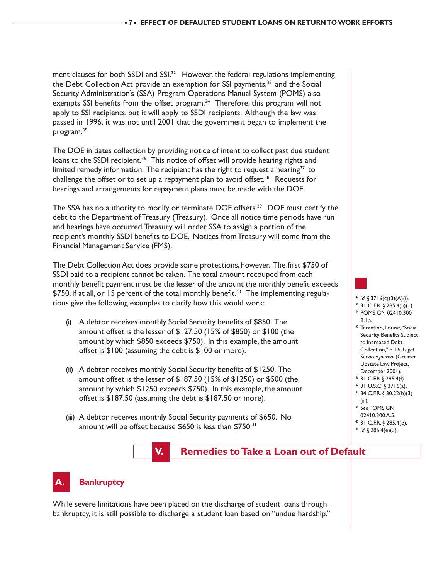ment clauses for both SSDI and  $SSI$ <sup>32</sup> However, the federal regulations implementing the Debt Collection Act provide an exemption for SSI payments,<sup>33</sup> and the Social Security Administration's (SSA) Program Operations Manual System (POMS) also exempts SSI benefits from the offset program.<sup>34</sup> Therefore, this program will not apply to SSI recipients, but it will apply to SSDI recipients. Although the law was passed in 1996, it was not until 2001 that the government began to implement the program.35

The DOE initiates collection by providing notice of intent to collect past due student loans to the SSDI recipient.<sup>36</sup> This notice of offset will provide hearing rights and limited remedy information. The recipient has the right to request a hearing<sup>37</sup> to challenge the offset or to set up a repayment plan to avoid offset.<sup>38</sup> Requests for hearings and arrangements for repayment plans must be made with the DOE.

The SSA has no authority to modify or terminate DOE offsets.<sup>39</sup> DOE must certify the debt to the Department of Treasury (Treasury). Once all notice time periods have run and hearings have occurred, Treasury will order SSA to assign a portion of the recipient's monthly SSDI benefits to DOE. Notices from Treasury will come from the Financial Management Service (FMS).

The Debt Collection Act does provide some protections, however. The first \$750 of SSDI paid to a recipient cannot be taken. The total amount recouped from each monthly benefit payment must be the lesser of the amount the monthly benefit exceeds  $$750$ , if at all, or 15 percent of the total monthly benefit.<sup>40</sup> The implementing regulations give the following examples to clarify how this would work:

- (i) A debtor receives monthly Social Security benefits of \$850. The amount offset is the lesser of \$127.50 (15% of \$850) or \$100 (the amount by which \$850 exceeds \$750). In this example, the amount offset is \$100 (assuming the debt is \$100 or more).
- (ii) A debtor receives monthly Social Security benefits of \$1250. The amount offset is the lesser of \$187.50 (15% of \$1250) or \$500 (the amount by which \$1250 exceeds \$750). In this example, the amount offset is \$187.50 (assuming the debt is \$187.50 or more).
- (iii) A debtor receives monthly Social Security payments of \$650. No amount will be offset because \$650 is less than \$750.<sup>41</sup>

# **V. Remedies to Take a Loan out of Default**

<sup>32</sup> *Id*. § 3716(c)(3)(A)(i). 33 31 C.F.R. § 285.4(a)(1). 34 POMS GN 02410.300

<sup>35</sup> Tarantino, Louise, "Social Security Benefits Subject to Increased Debt Collection," p. 16, *Legal Services Journal* (Greater Upstate Law Project, December 2001). 36 31 C.F.R § 285.4(f). 37 31 U.S.C. § 3716(a). 38 34 C.F.R. § 30.22(b)(3)

B.1.a.

(iii). <sup>39</sup> *See* POMS GN 02410.300 A.5. 40 31 C.F.R. § 285.4(e). <sup>41</sup> *Id*. § 285.4(e)(3).

# **Bankruptcy**

While severe limitations have been placed on the discharge of student loans through bankruptcy, it is still possible to discharge a student loan based on "undue hardship."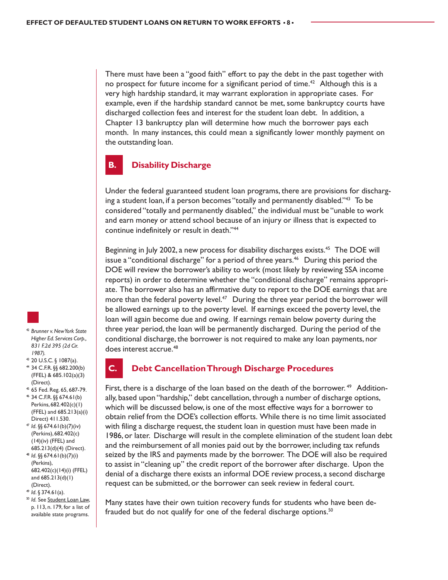There must have been a "good faith" effort to pay the debt in the past together with no prospect for future income for a significant period of time.<sup>42</sup> Although this is a very high hardship standard, it may warrant exploration in appropriate cases. For example, even if the hardship standard cannot be met, some bankruptcy courts have discharged collection fees and interest for the student loan debt. In addition, a Chapter 13 bankruptcy plan will determine how much the borrower pays each month. In many instances, this could mean a significantly lower monthly payment on the outstanding loan.

# **B. Disability Discharge**

Under the federal guaranteed student loan programs, there are provisions for discharging a student loan, if a person becomes "totally and permanently disabled."43 To be considered "totally and permanently disabled," the individual must be "unable to work and earn money or attend school because of an injury or illness that is expected to continue indefinitely or result in death."44

Beginning in July 2002, a new process for disability discharges exists.45 The DOE will issue a "conditional discharge" for a period of three years.<sup>46</sup> During this period the DOE will review the borrower's ability to work (most likely by reviewing SSA income reports) in order to determine whether the "conditional discharge" remains appropriate. The borrower also has an affirmative duty to report to the DOE earnings that are more than the federal poverty level.<sup>47</sup> During the three year period the borrower will be allowed earnings up to the poverty level. If earnings exceed the poverty level, the loan will again become due and owing. If earnings remain below poverty during the three year period, the loan will be permanently discharged. During the period of the conditional discharge, the borrower is not required to make any loan payments, nor does interest accrue.<sup>48</sup>

- <sup>42</sup> *Brunner v. New York State Higher Ed. Services Corp., 831 F.2d 395 (2d Cir. 1987).*
- 43 20 U.S.C. § 1087(a). 44 34 C.F.R. §§ 682.200(b)
- (FFEL) & 685.102(a)(3) (Direct).
- 45 65 Fed. Reg. 65, 687-79.
- 46 34 C.F.R. §§ 674.61(b) Perkins, 682.402(c)(1) (FFEL) and 685.213(a)(i) Direct) 411.530.
- <sup>47</sup> *Id*. §§ 674.61(b)(7)(iv) (Perkins), 682.402(c) (14)(iv) (FFEL) and 685.213(d)(4) (Direct).
- <sup>48</sup> *Id*. §§ 674.61(b)(7)(i) (Perkins), 682.402(c)(14)(i) (FFEL) and 685.213(d)(1) (Direct).
- 
- <sup>49</sup> *Id*. § 374.61(a). 50 *Id.* See Student Loan Law, p. 113, n. 179, for a list of available state programs.

### **Debt Cancellation Through Discharge Procedures**

First, there is a discharge of the loan based on the death of the borrower.  $49$  Additionally, based upon "hardship," debt cancellation, through a number of discharge options, which will be discussed below, is one of the most effective ways for a borrower to obtain relief from the DOE's collection efforts. While there is no time limit associated with filing a discharge request, the student loan in question must have been made in 1986, or later. Discharge will result in the complete elimination of the student loan debt and the reimbursement of all monies paid out by the borrower, including tax refunds seized by the IRS and payments made by the borrower. The DOE will also be required to assist in "cleaning up" the credit report of the borrower after discharge. Upon the denial of a discharge there exists an informal DOE review process, a second discharge request can be submitted, or the borrower can seek review in federal court.

Many states have their own tuition recovery funds for students who have been defrauded but do not qualify for one of the federal discharge options.<sup>50</sup>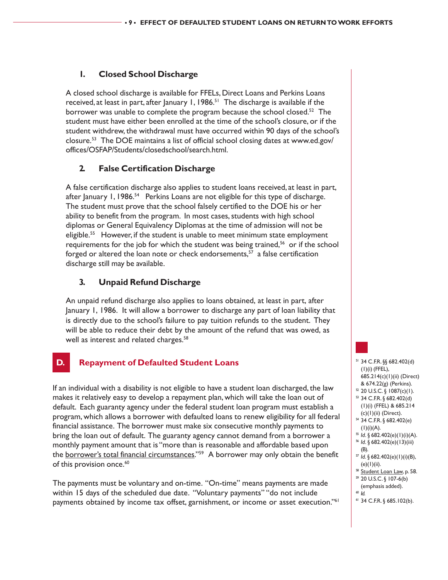#### **1. Closed School Discharge**

A closed school discharge is available for FFELs, Direct Loans and Perkins Loans received, at least in part, after January 1,  $1986$ <sup>51</sup> The discharge is available if the borrower was unable to complete the program because the school closed.<sup>52</sup> The student must have either been enrolled at the time of the school's closure, or if the student withdrew, the withdrawal must have occurred within 90 days of the school's closure.53 The DOE maintains a list of official school closing dates at www.ed.gov/ offices/OSFAP/Students/closedschool/search.html.

#### **2. False Certification Discharge**

A false certification discharge also applies to student loans received, at least in part, after January 1, 1986.<sup>54</sup> Perkins Loans are not eligible for this type of discharge. The student must prove that the school falsely certified to the DOE his or her ability to benefit from the program. In most cases, students with high school diplomas or General Equivalency Diplomas at the time of admission will not be eligible.<sup>55</sup> However, if the student is unable to meet minimum state employment requirements for the job for which the student was being trained, $56$  or if the school forged or altered the loan note or check endorsements, $57$  a false certification discharge still may be available.

### **3. Unpaid Refund Discharge**

An unpaid refund discharge also applies to loans obtained, at least in part, after January 1, 1986. It will allow a borrower to discharge any part of loan liability that is directly due to the school's failure to pay tuition refunds to the student. They will be able to reduce their debt by the amount of the refund that was owed, as well as interest and related charges.<sup>58</sup>

# **D. Repayment of Defaulted Student Loans**

If an individual with a disability is not eligible to have a student loan discharged, the law makes it relatively easy to develop a repayment plan, which will take the loan out of default. Each guaranty agency under the federal student loan program must establish a program, which allows a borrower with defaulted loans to renew eligibility for all federal financial assistance. The borrower must make six consecutive monthly payments to bring the loan out of default. The guaranty agency cannot demand from a borrower a monthly payment amount that is "more than is reasonable and affordable based upon the borrower's total financial circumstances."59 A borrower may only obtain the benefit of this provision once.<sup>60</sup>

The payments must be voluntary and on-time. "On-time" means payments are made within 15 days of the scheduled due date. "Voluntary payments" "do not include payments obtained by income tax offset, garnishment, or income or asset execution."<sup>61</sup>

51 34 C.F.R. §§ 682.402(d) (1)(i) (FFEL), 685.214(c)(1)(ii) (Direct) & 674.22(g) (Perkins).  $52$  20 U.S.C. § 1087(c)(1). 53 34 C.F.R. § 682.402(d) (1)(i) (FFEL) & 685.214 (c)(1)(ii) (Direct). 54 34 C.F.R. § 682.402(e) (1)(i)(A).<br><sup>55</sup> Id. § 682.402(e)(1)(i)(A). <sup>56</sup> *Id*. § 682.402(e)(13)(iii) (B). <sup>57</sup> *Id*. § 682.402(e)(1)(i)(B), (e)(1)(ii). <sup>58</sup> Student Loan Law, p. 58. 59 20 U.S.C. § 107-6(b)

- 
- (emphasis added).<br>  $\frac{1}{2}$   $\frac{d}{dx}$
- 
- <sup>61</sup> 34 C.F.R. § 685.102(b).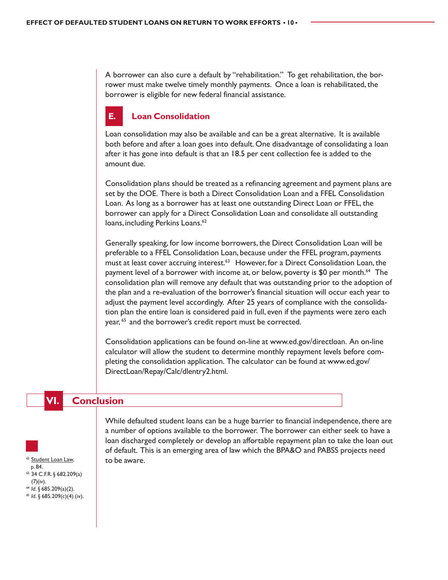A borrower can also cure a default by "rehabilitation." To get rehabilitation, the borrower must make twelve timely monthly payments. Once a loan is rehabilitated, the borrower is eligible for new federal financial assistance.

# **E. Loan Consolidation**

Loan consolidation may also be available and can be a great alternative. It is available both before and after a loan goes into default. One disadvantage of consolidating a loan after it has gone into default is that an 18.5 per cent collection fee is added to the amount due.

Consolidation plans should be treated as a refinancing agreement and payment plans are set by the DOE. There is both a Direct Consolidation Loan and a FFEL Consolidation Loan. As long as a borrower has at least one outstanding Direct Loan or FFEL, the borrower can apply for a Direct Consolidation Loan and consolidate all outstanding loans, including Perkins Loans.<sup>62</sup>

Generally speaking, for low income borrowers, the Direct Consolidation Loan will be preferable to a FFEL Consolidation Loan, because under the FFEL program, payments must at least cover accruing interest.<sup>63</sup> However, for a Direct Consolidation Loan, the payment level of a borrower with income at, or below, poverty is \$0 per month.<sup>64</sup> The consolidation plan will remove any default that was outstanding prior to the adoption of the plan and a re-evaluation of the borrower's financial situation will occur each year to adjust the payment level accordingly. After 25 years of compliance with the consolidation plan the entire loan is considered paid in full, even if the payments were zero each year, <sup>65</sup> and the borrower's credit report must be corrected.

Consolidation applications can be found on-line at www.ed.gov/directloan. An on-line calculator will allow the student to determine monthly repayment levels before completing the consolidation application. The calculator can be found at www.ed.gov/ DirectLoan/Repay/Calc/dlentry2.html.

#### **Conclusion**



 p. 84.  $63$  34 C.F.R. § 682.209(a) (7)(iv).

<sup>64</sup> *Id*. § 685.209(a)(2).<br><sup>65</sup> *Id*. § 685.209(c)(4) (iv).

While defaulted student loans can be a huge barrier to financial independence, there are a number of options available to the borrower. The borrower can either seek to have a loan discharged completely or develop an affortable repayment plan to take the loan out of default. This is an emerging area of law which the BPA&O and PABSS projects need to be aware.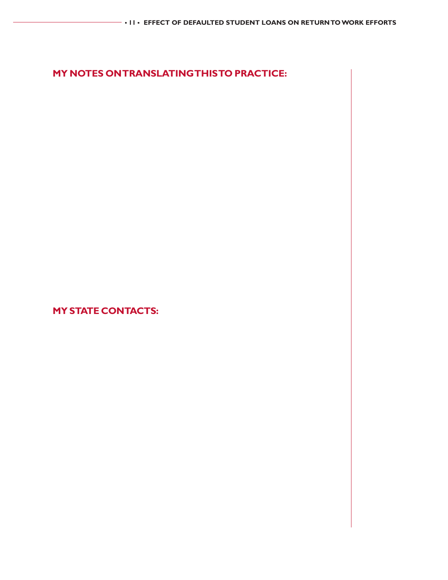# **MY NOTES ON TRANSLATING THIS TO PRACTICE:**

**MY STATE CONTACTS:**